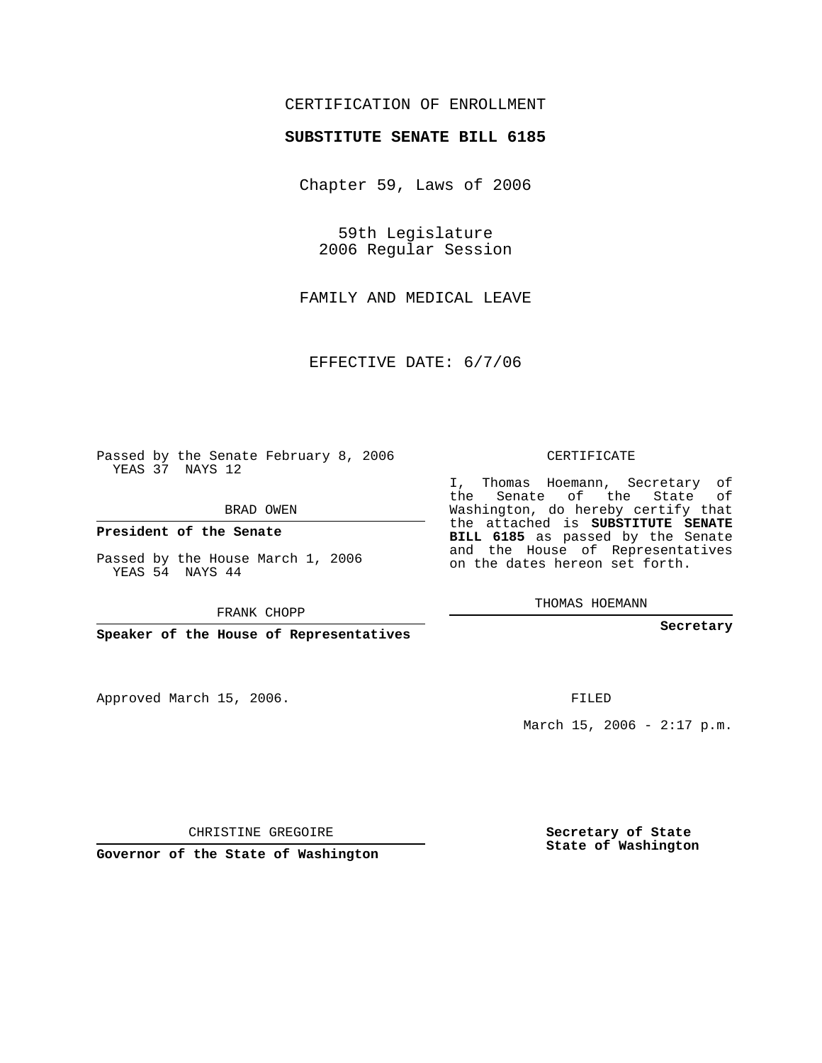## CERTIFICATION OF ENROLLMENT

## **SUBSTITUTE SENATE BILL 6185**

Chapter 59, Laws of 2006

59th Legislature 2006 Regular Session

FAMILY AND MEDICAL LEAVE

EFFECTIVE DATE: 6/7/06

Passed by the Senate February 8, 2006 YEAS 37 NAYS 12

BRAD OWEN

**President of the Senate**

Passed by the House March 1, 2006 YEAS 54 NAYS 44

FRANK CHOPP

**Speaker of the House of Representatives**

Approved March 15, 2006.

CERTIFICATE

I, Thomas Hoemann, Secretary of the Senate of the State of Washington, do hereby certify that the attached is **SUBSTITUTE SENATE BILL 6185** as passed by the Senate and the House of Representatives on the dates hereon set forth.

THOMAS HOEMANN

**Secretary**

FILED

March 15, 2006 - 2:17 p.m.

CHRISTINE GREGOIRE

**Governor of the State of Washington**

**Secretary of State State of Washington**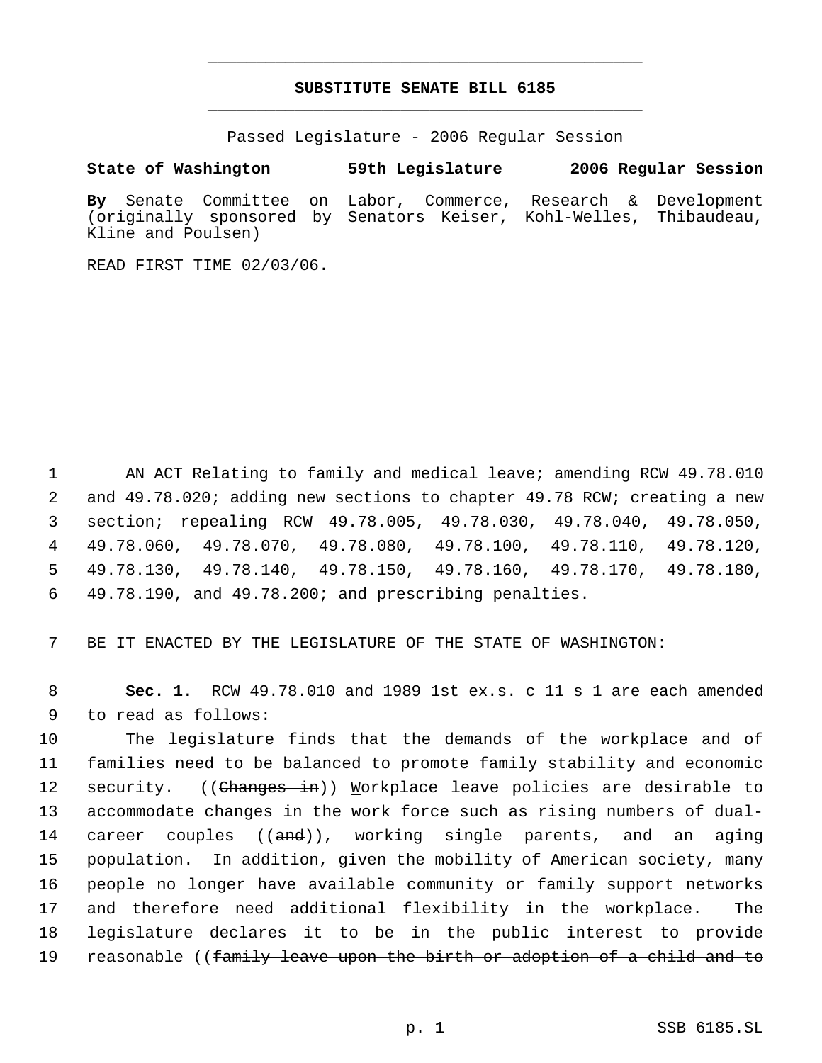## **SUBSTITUTE SENATE BILL 6185** \_\_\_\_\_\_\_\_\_\_\_\_\_\_\_\_\_\_\_\_\_\_\_\_\_\_\_\_\_\_\_\_\_\_\_\_\_\_\_\_\_\_\_\_\_

\_\_\_\_\_\_\_\_\_\_\_\_\_\_\_\_\_\_\_\_\_\_\_\_\_\_\_\_\_\_\_\_\_\_\_\_\_\_\_\_\_\_\_\_\_

Passed Legislature - 2006 Regular Session

## **State of Washington 59th Legislature 2006 Regular Session**

**By** Senate Committee on Labor, Commerce, Research & Development (originally sponsored by Senators Keiser, Kohl-Welles, Thibaudeau, Kline and Poulsen)

READ FIRST TIME 02/03/06.

 AN ACT Relating to family and medical leave; amending RCW 49.78.010 and 49.78.020; adding new sections to chapter 49.78 RCW; creating a new section; repealing RCW 49.78.005, 49.78.030, 49.78.040, 49.78.050, 49.78.060, 49.78.070, 49.78.080, 49.78.100, 49.78.110, 49.78.120, 49.78.130, 49.78.140, 49.78.150, 49.78.160, 49.78.170, 49.78.180, 49.78.190, and 49.78.200; and prescribing penalties.

7 BE IT ENACTED BY THE LEGISLATURE OF THE STATE OF WASHINGTON:

 8 **Sec. 1.** RCW 49.78.010 and 1989 1st ex.s. c 11 s 1 are each amended 9 to read as follows:

10 The legislature finds that the demands of the workplace and of 11 families need to be balanced to promote family stability and economic 12 security. ((Changes in)) Morkplace leave policies are desirable to 13 accommodate changes in the work force such as rising numbers of dual-14 career couples ((and)), working single parents, and an aging 15 population. In addition, given the mobility of American society, many 16 people no longer have available community or family support networks 17 and therefore need additional flexibility in the workplace. The 18 legislature declares it to be in the public interest to provide 19 reasonable ((family leave upon the birth or adoption of a child and to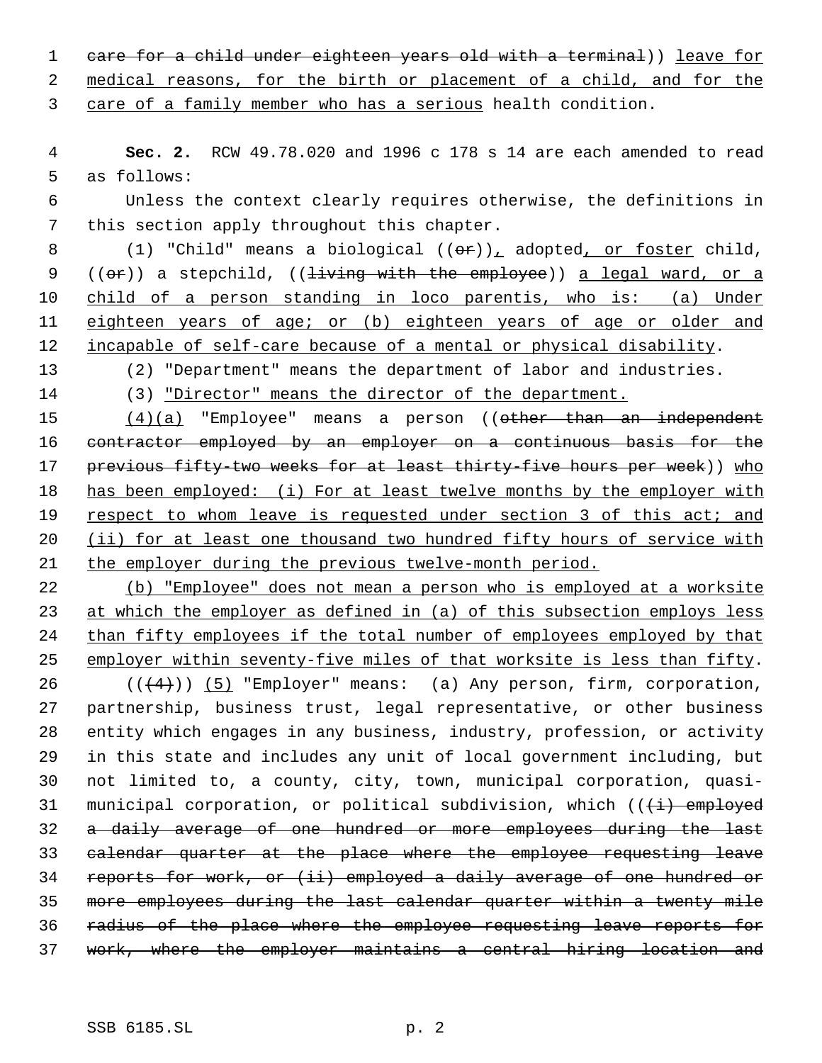1 care for a child under eighteen years old with a terminal)) leave for

medical reasons, for the birth or placement of a child, and for the

care of a family member who has a serious health condition.

 **Sec. 2.** RCW 49.78.020 and 1996 c 178 s 14 are each amended to read as follows:

 Unless the context clearly requires otherwise, the definitions in this section apply throughout this chapter.

8 (1) "Child" means a biological  $((\theta \hat{r}))_L$  adopted, or foster child, 9 ((or)) a stepchild, ((<del>living with the employee</del>)) <u>a legal ward, or a</u> 10 child of a person standing in loco parentis, who is: (a) Under eighteen years of age; or (b) eighteen years of age or older and 12 incapable of self-care because of a mental or physical disability.

(2) "Department" means the department of labor and industries.

(3) "Director" means the director of the department.

15 (4)(a) "Employee" means a person ((other than an independent contractor employed by an employer on a continuous basis for the 17 previous fifty-two weeks for at least thirty-five hours per week)) who 18 has been employed: (i) For at least twelve months by the employer with 19 respect to whom leave is requested under section 3 of this act; and (ii) for at least one thousand two hundred fifty hours of service with the employer during the previous twelve-month period.

 (b) "Employee" does not mean a person who is employed at a worksite 23 at which the employer as defined in (a) of this subsection employs less than fifty employees if the total number of employees employed by that 25 employer within seventy-five miles of that worksite is less than fifty.

 $((+4))$   $(5)$  "Employer" means: (a) Any person, firm, corporation, partnership, business trust, legal representative, or other business entity which engages in any business, industry, profession, or activity in this state and includes any unit of local government including, but not limited to, a county, city, town, municipal corporation, quasi-31 municipal corporation, or political subdivision, which  $((+i)$  employed a daily average of one hundred or more employees during the last calendar quarter at the place where the employee requesting leave reports for work, or (ii) employed a daily average of one hundred or more employees during the last calendar quarter within a twenty mile radius of the place where the employee requesting leave reports for 37 work, where the employer maintains a central hiring location and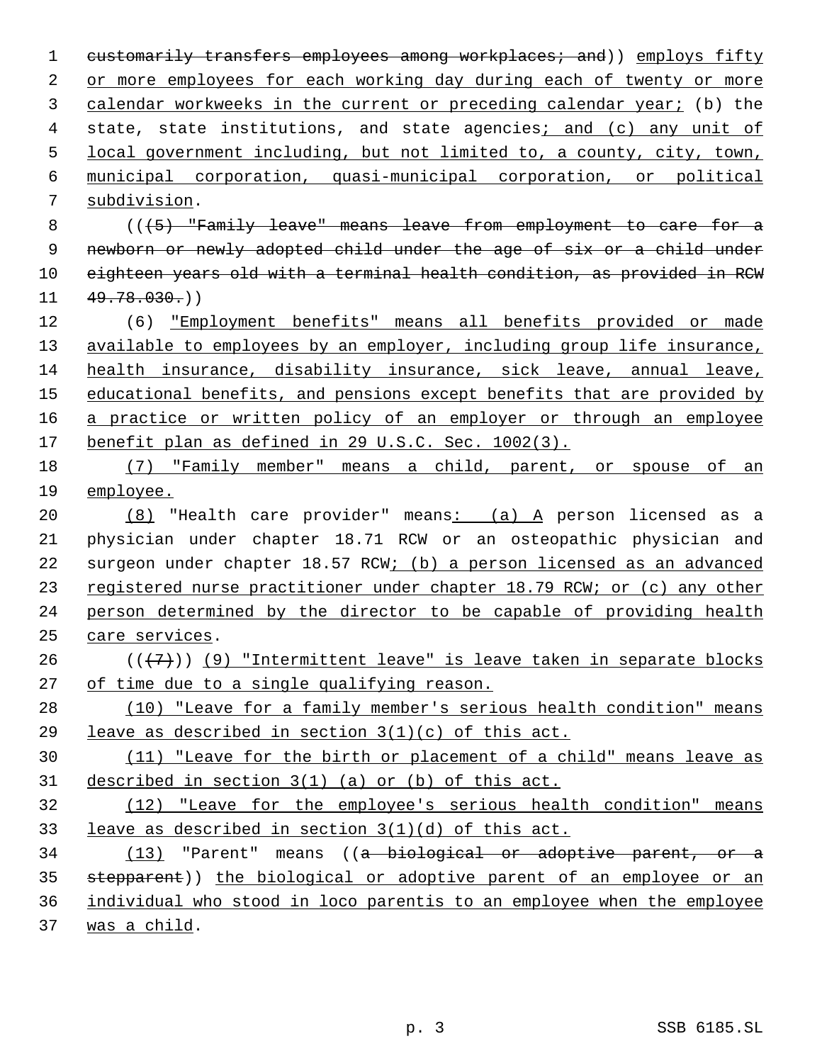| 1           | eustomarily transfers employees among workplaces; and)) employs fifty                                                                                                                                                                                                                                      |
|-------------|------------------------------------------------------------------------------------------------------------------------------------------------------------------------------------------------------------------------------------------------------------------------------------------------------------|
| 2           | or more employees for each working day during each of twenty or more                                                                                                                                                                                                                                       |
| 3           | calendar workweeks in the current or preceding calendar year; (b) the                                                                                                                                                                                                                                      |
| 4           | state, state institutions, and state agencies; and (c) any unit of                                                                                                                                                                                                                                         |
| 5           | local government including, but not limited to, a county, city, town,                                                                                                                                                                                                                                      |
| 6           | municipal corporation, quasi-municipal corporation, or political                                                                                                                                                                                                                                           |
| 7           | subdivision.                                                                                                                                                                                                                                                                                               |
| 8           | $($ $($ $($ $\frac{1}{5}$ $)$ $\frac{1}{5}$ $\frac{1}{10}$ $\frac{1}{10}$ $\frac{1}{10}$ $\frac{1}{10}$ $\frac{1}{10}$ $\frac{1}{10}$ $\frac{1}{10}$ $\frac{1}{10}$ $\frac{1}{10}$ $\frac{1}{10}$ $\frac{1}{10}$ $\frac{1}{10}$ $\frac{1}{10}$ $\frac{1}{10}$ $\frac{1}{10}$ $\frac{1}{10}$ $\frac{1}{10}$ |
| $\mathsf 9$ | newborn or newly adopted child under the age of six or a child under                                                                                                                                                                                                                                       |
| 10          | eighteen years old with a terminal health condition, as provided in RCW                                                                                                                                                                                                                                    |
| 11          | 49.78.030()                                                                                                                                                                                                                                                                                                |
| 12          | (6) "Employment benefits" means all benefits provided or made                                                                                                                                                                                                                                              |
| 13          | available to employees by an employer, including group life insurance,                                                                                                                                                                                                                                     |
| 14          | health insurance, disability insurance, sick leave, annual leave,                                                                                                                                                                                                                                          |
| 15          | educational benefits, and pensions except benefits that are provided by                                                                                                                                                                                                                                    |
| 16          | a practice or written policy of an employer or through an employee                                                                                                                                                                                                                                         |
| 17          | benefit plan as defined in 29 U.S.C. Sec. 1002(3).                                                                                                                                                                                                                                                         |
| 18          | (7) "Family member" means a child, parent, or spouse of an                                                                                                                                                                                                                                                 |
| 19          | employee.                                                                                                                                                                                                                                                                                                  |
| 20          | (8) "Health care provider" means: (a) A person licensed as a                                                                                                                                                                                                                                               |
| 21          | physician under chapter 18.71 RCW or an osteopathic physician and                                                                                                                                                                                                                                          |
| 22          | surgeon under chapter 18.57 RCW; (b) a person licensed as an advanced                                                                                                                                                                                                                                      |
| 23          | registered nurse practitioner under chapter 18.79 RCW; or (c) any other                                                                                                                                                                                                                                    |
| 24          | person determined by the director to be capable of providing health                                                                                                                                                                                                                                        |
| 25          | care services.                                                                                                                                                                                                                                                                                             |
| 26          | (((+7)) (9) "Intermittent leave" is leave taken in separate blocks                                                                                                                                                                                                                                         |
| 27          | of time due to a single qualifying reason.                                                                                                                                                                                                                                                                 |
| 28          | (10) "Leave for a family member's serious health condition" means                                                                                                                                                                                                                                          |
| 29          | leave as described in section 3(1)(c) of this act.                                                                                                                                                                                                                                                         |
| 30          | (11) "Leave for the birth or placement of a child" means leave as                                                                                                                                                                                                                                          |
| 31          | described in section 3(1) (a) or (b) of this act.                                                                                                                                                                                                                                                          |
| 32          | (12) "Leave for the employee's serious health condition" means                                                                                                                                                                                                                                             |
| 33          | leave as described in section 3(1)(d) of this act.                                                                                                                                                                                                                                                         |
| 34          | (13) "Parent" means ((a biological or adoptive parent, or a                                                                                                                                                                                                                                                |
| 35          | stepparent)) the biological or adoptive parent of an employee or an                                                                                                                                                                                                                                        |
| 36          | individual who stood in loco parentis to an employee when the employee                                                                                                                                                                                                                                     |
| 37          | <u>was a child</u> .                                                                                                                                                                                                                                                                                       |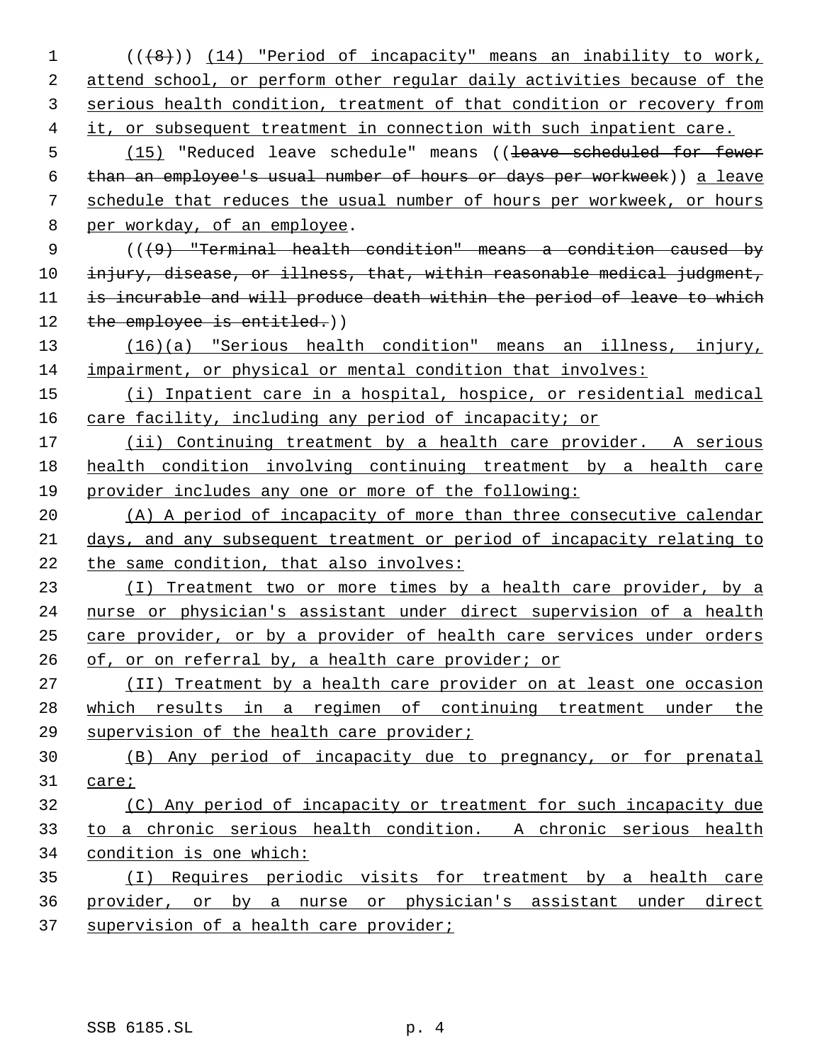| $\mathbf 1$ | $((+8+))$ (14) "Period of incapacity" means an inability to work,           |
|-------------|-----------------------------------------------------------------------------|
| 2           | attend school, or perform other regular daily activities because of the     |
| 3           | serious health condition, treatment of that condition or recovery from      |
| 4           | it, or subsequent treatment in connection with such inpatient care.         |
| 5           | (15) "Reduced leave schedule" means (( <del>leave scheduled for fewer</del> |
| 6           | than an employee's usual number of hours or days per workweek)) a leave     |
| 7           | schedule that reduces the usual number of hours per workweek, or hours      |
| 8           | per workday, of an employee.                                                |
| 9           | $((49)$ "Terminal health condition" means a condition caused by             |
| 10          | injury, disease, or illness, that, within reasonable medical judgment,      |
| 11          | is incurable and will produce death within the period of leave to which     |
| 12          | the employee is entitled.))                                                 |
| 13          | $(16)(a)$ "Serious health condition" means an illness, injury,              |
| 14          | impairment, or physical or mental condition that involves:                  |
| 15          | (i) Inpatient care in a hospital, hospice, or residential medical           |
| 16          | care facility, including any period of incapacity; or                       |
| 17          | (ii) Continuing treatment by a health care provider. A serious              |
| 18          | health condition involving continuing treatment by a health care            |
| 19          | provider includes any one or more of the following:                         |
| 20          | (A) A period of incapacity of more than three consecutive calendar          |
| 21          | days, and any subsequent treatment or period of incapacity relating to      |
| 22          | the same condition, that also involves:                                     |
| 23          | (I) Treatment two or more times by a health care provider, by a             |
| 24          | nurse or physician's assistant under direct supervision of a health         |
| 25          | care provider, or by a provider of health care services under orders        |
| 26          | of, or on referral by, a health care provider; or                           |
| 27          | (II) Treatment by a health care provider on at least one occasion           |
| 28          | which results in a regimen of continuing treatment under the                |
| 29          | supervision of the health care provider;                                    |
| 30          | (B) Any period of incapacity due to pregnancy, or for prenatal              |
| 31          | care;                                                                       |
| 32          | (C) Any period of incapacity or treatment for such incapacity due           |
| 33          | to a chronic serious health condition. A chronic serious health             |
| 34          | condition is one which:                                                     |
| 35          | (I) Requires periodic visits for treatment by a health care                 |
| 36          | provider, or by a nurse or physician's assistant under direct               |
| 37          | supervision of a health care provider;                                      |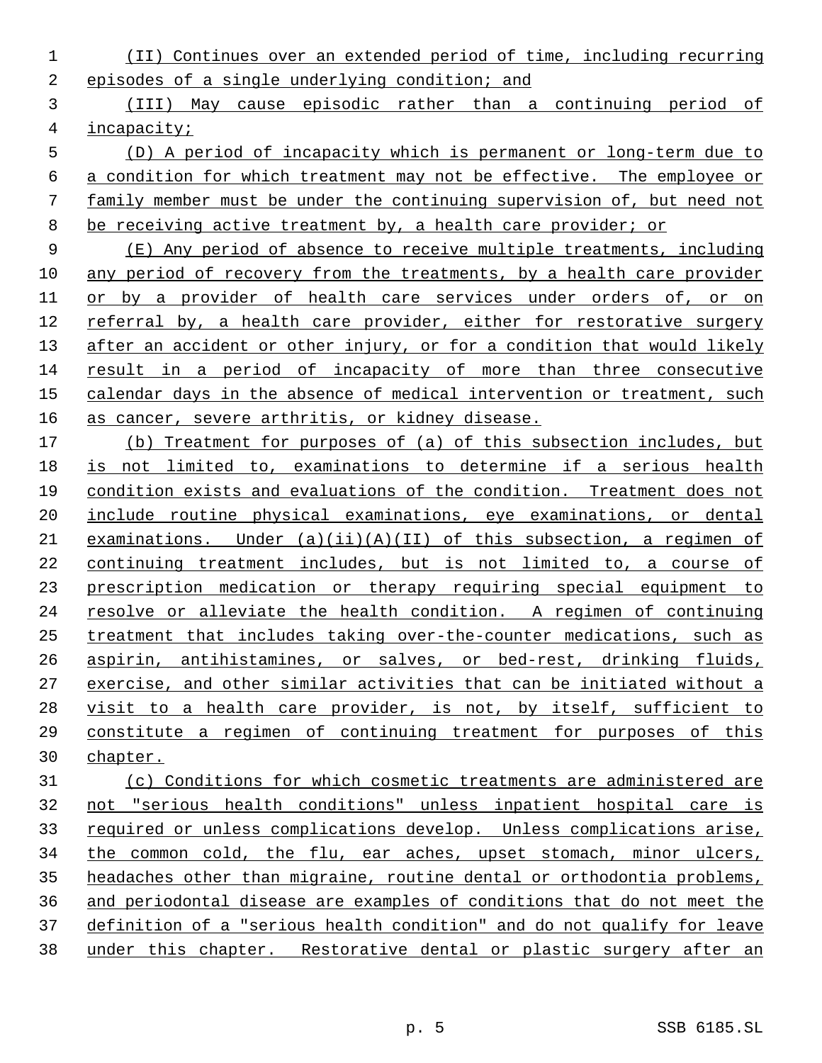(II) Continues over an extended period of time, including recurring episodes of a single underlying condition; and

 (III) May cause episodic rather than a continuing period of incapacity;

 (D) A period of incapacity which is permanent or long-term due to a condition for which treatment may not be effective. The employee or family member must be under the continuing supervision of, but need not be receiving active treatment by, a health care provider; or

 (E) Any period of absence to receive multiple treatments, including any period of recovery from the treatments, by a health care provider or by a provider of health care services under orders of, or on referral by, a health care provider, either for restorative surgery after an accident or other injury, or for a condition that would likely result in a period of incapacity of more than three consecutive calendar days in the absence of medical intervention or treatment, such 16 as cancer, severe arthritis, or kidney disease.

 (b) Treatment for purposes of (a) of this subsection includes, but is not limited to, examinations to determine if a serious health 19 condition exists and evaluations of the condition. Treatment does not include routine physical examinations, eye examinations, or dental examinations. Under (a)(ii)(A)(II) of this subsection, a regimen of 22 continuing treatment includes, but is not limited to, a course of prescription medication or therapy requiring special equipment to resolve or alleviate the health condition. A regimen of continuing treatment that includes taking over-the-counter medications, such as aspirin, antihistamines, or salves, or bed-rest, drinking fluids, exercise, and other similar activities that can be initiated without a 28 visit to a health care provider, is not, by itself, sufficient to 29 constitute a regimen of continuing treatment for purposes of this chapter.

 (c) Conditions for which cosmetic treatments are administered are not "serious health conditions" unless inpatient hospital care is 33 required or unless complications develop. Unless complications arise, the common cold, the flu, ear aches, upset stomach, minor ulcers, headaches other than migraine, routine dental or orthodontia problems, and periodontal disease are examples of conditions that do not meet the definition of a "serious health condition" and do not qualify for leave under this chapter. Restorative dental or plastic surgery after an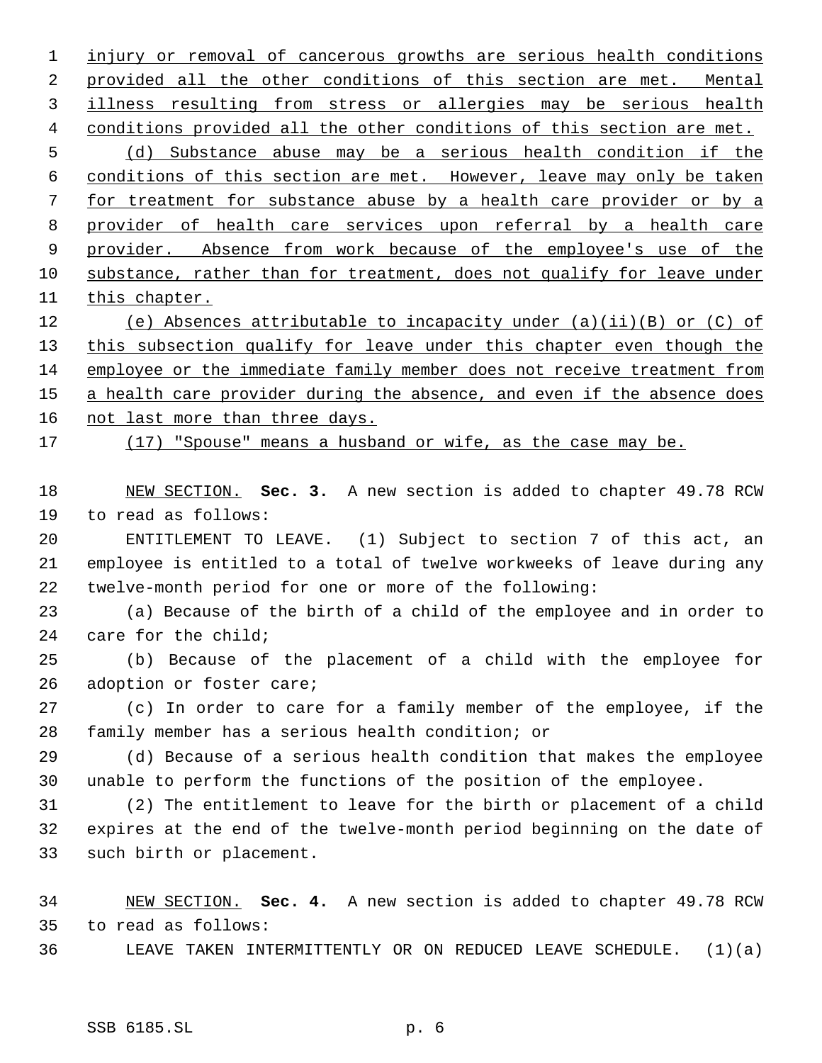injury or removal of cancerous growths are serious health conditions 2 provided all the other conditions of this section are met. Mental illness resulting from stress or allergies may be serious health conditions provided all the other conditions of this section are met. (d) Substance abuse may be a serious health condition if the conditions of this section are met. However, leave may only be taken for treatment for substance abuse by a health care provider or by a provider of health care services upon referral by a health care provider. Absence from work because of the employee's use of the 10 substance, rather than for treatment, does not qualify for leave under this chapter. (e) Absences attributable to incapacity under (a)(ii)(B) or (C) of

13 this subsection qualify for leave under this chapter even though the employee or the immediate family member does not receive treatment from 15 a health care provider during the absence, and even if the absence does 16 not last more than three days.

17 (17) "Spouse" means a husband or wife, as the case may be.

 NEW SECTION. **Sec. 3.** A new section is added to chapter 49.78 RCW to read as follows:

 ENTITLEMENT TO LEAVE. (1) Subject to section 7 of this act, an employee is entitled to a total of twelve workweeks of leave during any twelve-month period for one or more of the following:

 (a) Because of the birth of a child of the employee and in order to care for the child;

 (b) Because of the placement of a child with the employee for adoption or foster care;

 (c) In order to care for a family member of the employee, if the family member has a serious health condition; or

 (d) Because of a serious health condition that makes the employee unable to perform the functions of the position of the employee.

 (2) The entitlement to leave for the birth or placement of a child expires at the end of the twelve-month period beginning on the date of such birth or placement.

 NEW SECTION. **Sec. 4.** A new section is added to chapter 49.78 RCW to read as follows:

LEAVE TAKEN INTERMITTENTLY OR ON REDUCED LEAVE SCHEDULE. (1)(a)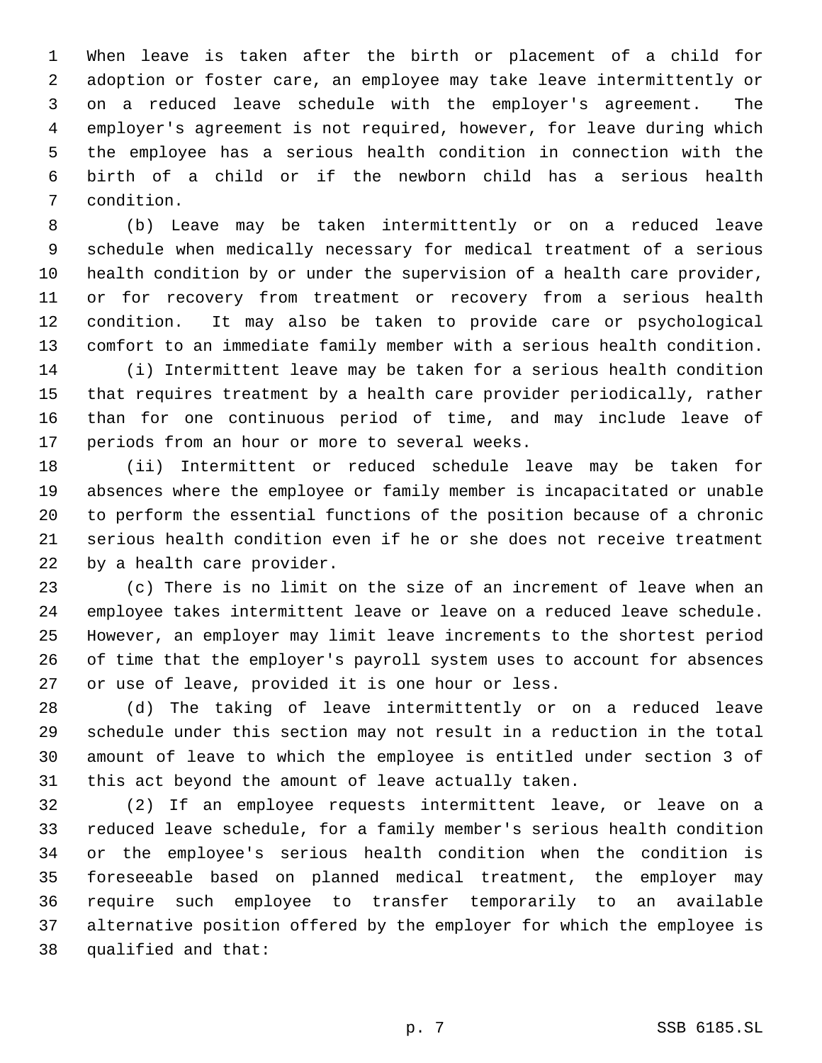When leave is taken after the birth or placement of a child for adoption or foster care, an employee may take leave intermittently or on a reduced leave schedule with the employer's agreement. The employer's agreement is not required, however, for leave during which the employee has a serious health condition in connection with the birth of a child or if the newborn child has a serious health condition.

 (b) Leave may be taken intermittently or on a reduced leave schedule when medically necessary for medical treatment of a serious health condition by or under the supervision of a health care provider, or for recovery from treatment or recovery from a serious health condition. It may also be taken to provide care or psychological comfort to an immediate family member with a serious health condition.

 (i) Intermittent leave may be taken for a serious health condition that requires treatment by a health care provider periodically, rather than for one continuous period of time, and may include leave of periods from an hour or more to several weeks.

 (ii) Intermittent or reduced schedule leave may be taken for absences where the employee or family member is incapacitated or unable to perform the essential functions of the position because of a chronic serious health condition even if he or she does not receive treatment by a health care provider.

 (c) There is no limit on the size of an increment of leave when an employee takes intermittent leave or leave on a reduced leave schedule. However, an employer may limit leave increments to the shortest period of time that the employer's payroll system uses to account for absences or use of leave, provided it is one hour or less.

 (d) The taking of leave intermittently or on a reduced leave schedule under this section may not result in a reduction in the total amount of leave to which the employee is entitled under section 3 of this act beyond the amount of leave actually taken.

 (2) If an employee requests intermittent leave, or leave on a reduced leave schedule, for a family member's serious health condition or the employee's serious health condition when the condition is foreseeable based on planned medical treatment, the employer may require such employee to transfer temporarily to an available alternative position offered by the employer for which the employee is qualified and that: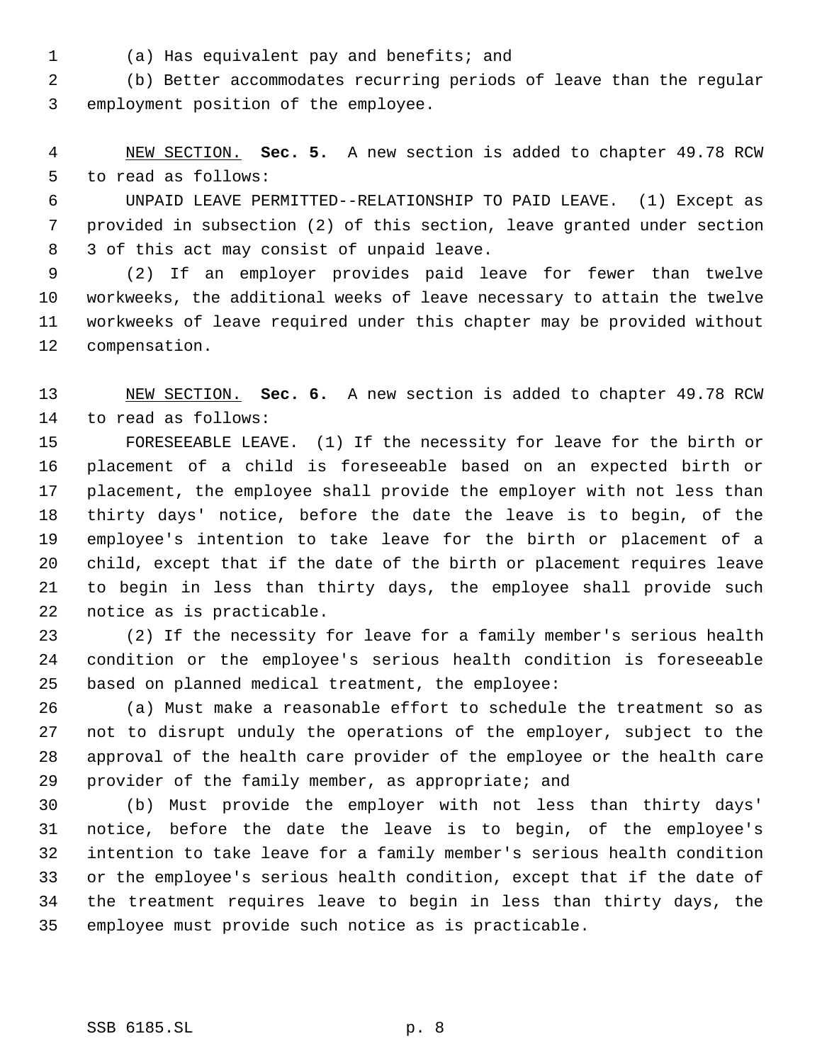(a) Has equivalent pay and benefits; and

 (b) Better accommodates recurring periods of leave than the regular employment position of the employee.

 NEW SECTION. **Sec. 5.** A new section is added to chapter 49.78 RCW to read as follows:

 UNPAID LEAVE PERMITTED--RELATIONSHIP TO PAID LEAVE. (1) Except as provided in subsection (2) of this section, leave granted under section 3 of this act may consist of unpaid leave.

 (2) If an employer provides paid leave for fewer than twelve workweeks, the additional weeks of leave necessary to attain the twelve workweeks of leave required under this chapter may be provided without compensation.

 NEW SECTION. **Sec. 6.** A new section is added to chapter 49.78 RCW to read as follows:

 FORESEEABLE LEAVE. (1) If the necessity for leave for the birth or placement of a child is foreseeable based on an expected birth or placement, the employee shall provide the employer with not less than thirty days' notice, before the date the leave is to begin, of the employee's intention to take leave for the birth or placement of a child, except that if the date of the birth or placement requires leave to begin in less than thirty days, the employee shall provide such notice as is practicable.

 (2) If the necessity for leave for a family member's serious health condition or the employee's serious health condition is foreseeable based on planned medical treatment, the employee:

 (a) Must make a reasonable effort to schedule the treatment so as not to disrupt unduly the operations of the employer, subject to the approval of the health care provider of the employee or the health care provider of the family member, as appropriate; and

 (b) Must provide the employer with not less than thirty days' notice, before the date the leave is to begin, of the employee's intention to take leave for a family member's serious health condition or the employee's serious health condition, except that if the date of the treatment requires leave to begin in less than thirty days, the employee must provide such notice as is practicable.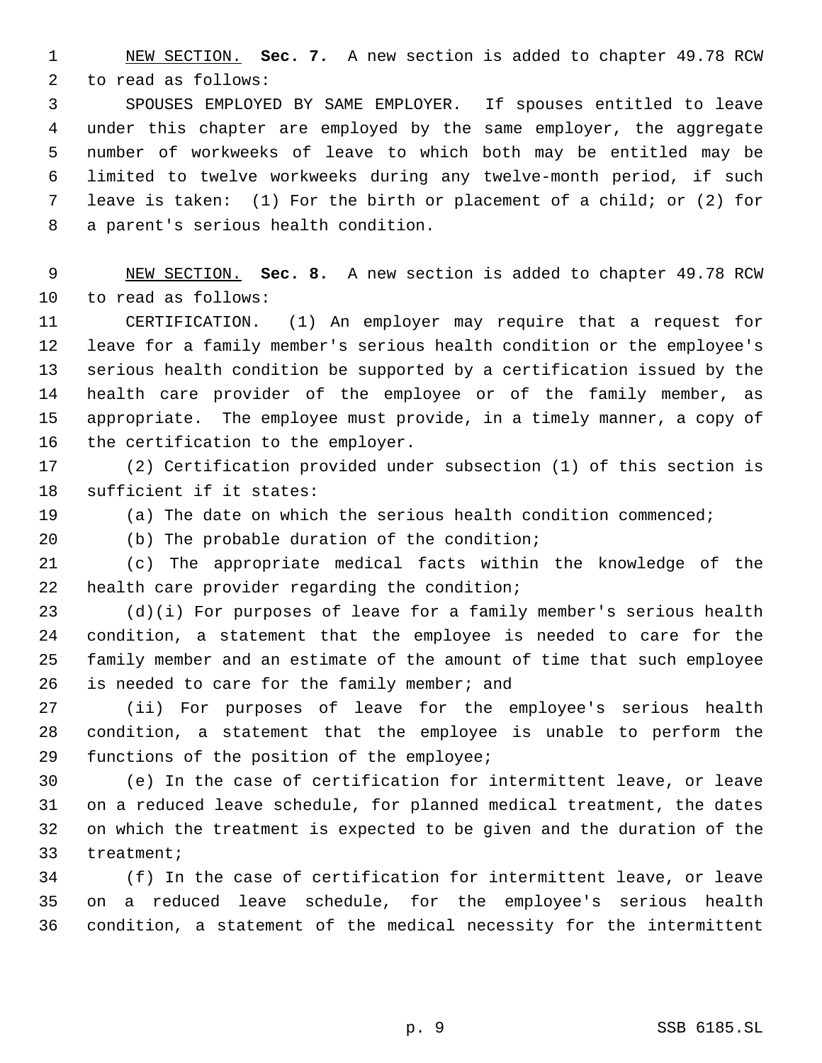NEW SECTION. **Sec. 7.** A new section is added to chapter 49.78 RCW to read as follows:

 SPOUSES EMPLOYED BY SAME EMPLOYER. If spouses entitled to leave under this chapter are employed by the same employer, the aggregate number of workweeks of leave to which both may be entitled may be limited to twelve workweeks during any twelve-month period, if such leave is taken: (1) For the birth or placement of a child; or (2) for a parent's serious health condition.

 NEW SECTION. **Sec. 8.** A new section is added to chapter 49.78 RCW to read as follows:

 CERTIFICATION. (1) An employer may require that a request for leave for a family member's serious health condition or the employee's serious health condition be supported by a certification issued by the health care provider of the employee or of the family member, as appropriate. The employee must provide, in a timely manner, a copy of the certification to the employer.

 (2) Certification provided under subsection (1) of this section is sufficient if it states:

(a) The date on which the serious health condition commenced;

(b) The probable duration of the condition;

 (c) The appropriate medical facts within the knowledge of the health care provider regarding the condition;

 (d)(i) For purposes of leave for a family member's serious health condition, a statement that the employee is needed to care for the family member and an estimate of the amount of time that such employee is needed to care for the family member; and

 (ii) For purposes of leave for the employee's serious health condition, a statement that the employee is unable to perform the functions of the position of the employee;

 (e) In the case of certification for intermittent leave, or leave on a reduced leave schedule, for planned medical treatment, the dates on which the treatment is expected to be given and the duration of the treatment;

 (f) In the case of certification for intermittent leave, or leave on a reduced leave schedule, for the employee's serious health condition, a statement of the medical necessity for the intermittent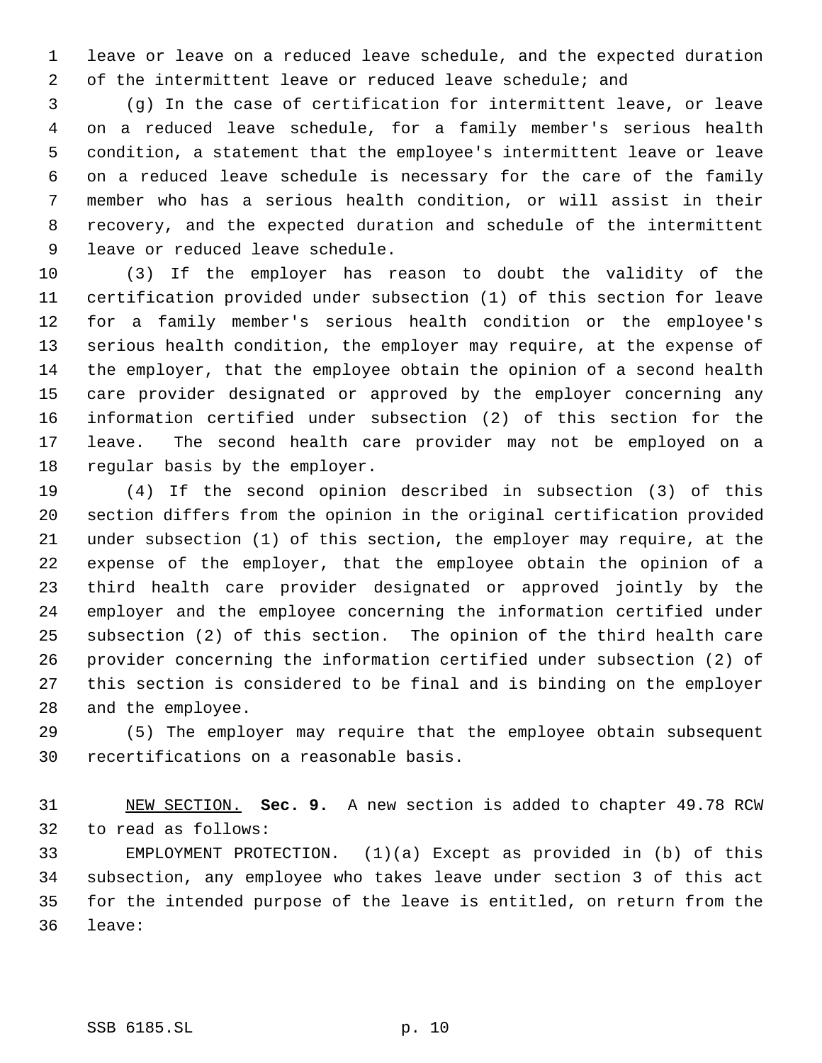leave or leave on a reduced leave schedule, and the expected duration of the intermittent leave or reduced leave schedule; and

 (g) In the case of certification for intermittent leave, or leave on a reduced leave schedule, for a family member's serious health condition, a statement that the employee's intermittent leave or leave on a reduced leave schedule is necessary for the care of the family member who has a serious health condition, or will assist in their recovery, and the expected duration and schedule of the intermittent leave or reduced leave schedule.

 (3) If the employer has reason to doubt the validity of the certification provided under subsection (1) of this section for leave for a family member's serious health condition or the employee's serious health condition, the employer may require, at the expense of the employer, that the employee obtain the opinion of a second health care provider designated or approved by the employer concerning any information certified under subsection (2) of this section for the leave. The second health care provider may not be employed on a regular basis by the employer.

 (4) If the second opinion described in subsection (3) of this section differs from the opinion in the original certification provided under subsection (1) of this section, the employer may require, at the expense of the employer, that the employee obtain the opinion of a third health care provider designated or approved jointly by the employer and the employee concerning the information certified under subsection (2) of this section. The opinion of the third health care provider concerning the information certified under subsection (2) of this section is considered to be final and is binding on the employer and the employee.

 (5) The employer may require that the employee obtain subsequent recertifications on a reasonable basis.

 NEW SECTION. **Sec. 9.** A new section is added to chapter 49.78 RCW to read as follows:

 EMPLOYMENT PROTECTION. (1)(a) Except as provided in (b) of this subsection, any employee who takes leave under section 3 of this act for the intended purpose of the leave is entitled, on return from the leave: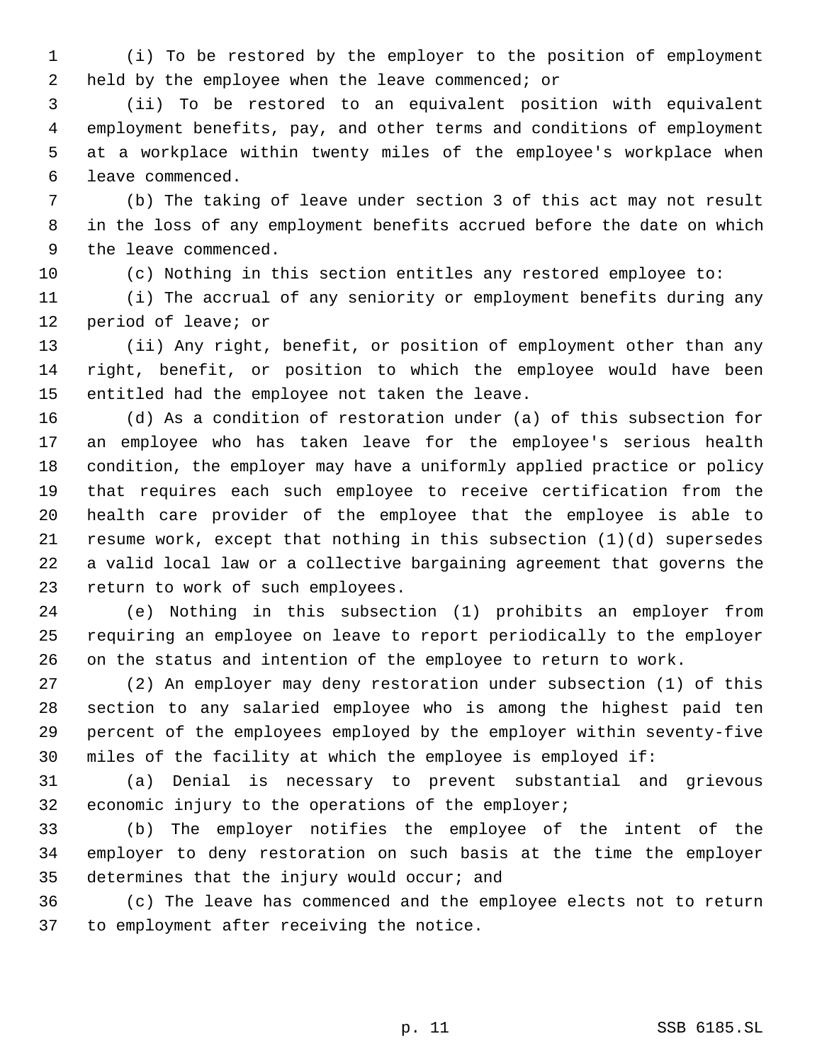(i) To be restored by the employer to the position of employment held by the employee when the leave commenced; or

 (ii) To be restored to an equivalent position with equivalent employment benefits, pay, and other terms and conditions of employment at a workplace within twenty miles of the employee's workplace when leave commenced.

 (b) The taking of leave under section 3 of this act may not result in the loss of any employment benefits accrued before the date on which the leave commenced.

(c) Nothing in this section entitles any restored employee to:

 (i) The accrual of any seniority or employment benefits during any period of leave; or

 (ii) Any right, benefit, or position of employment other than any right, benefit, or position to which the employee would have been entitled had the employee not taken the leave.

 (d) As a condition of restoration under (a) of this subsection for an employee who has taken leave for the employee's serious health condition, the employer may have a uniformly applied practice or policy that requires each such employee to receive certification from the health care provider of the employee that the employee is able to resume work, except that nothing in this subsection (1)(d) supersedes a valid local law or a collective bargaining agreement that governs the return to work of such employees.

 (e) Nothing in this subsection (1) prohibits an employer from requiring an employee on leave to report periodically to the employer on the status and intention of the employee to return to work.

 (2) An employer may deny restoration under subsection (1) of this section to any salaried employee who is among the highest paid ten percent of the employees employed by the employer within seventy-five miles of the facility at which the employee is employed if:

 (a) Denial is necessary to prevent substantial and grievous economic injury to the operations of the employer;

 (b) The employer notifies the employee of the intent of the employer to deny restoration on such basis at the time the employer 35 determines that the injury would occur; and

 (c) The leave has commenced and the employee elects not to return to employment after receiving the notice.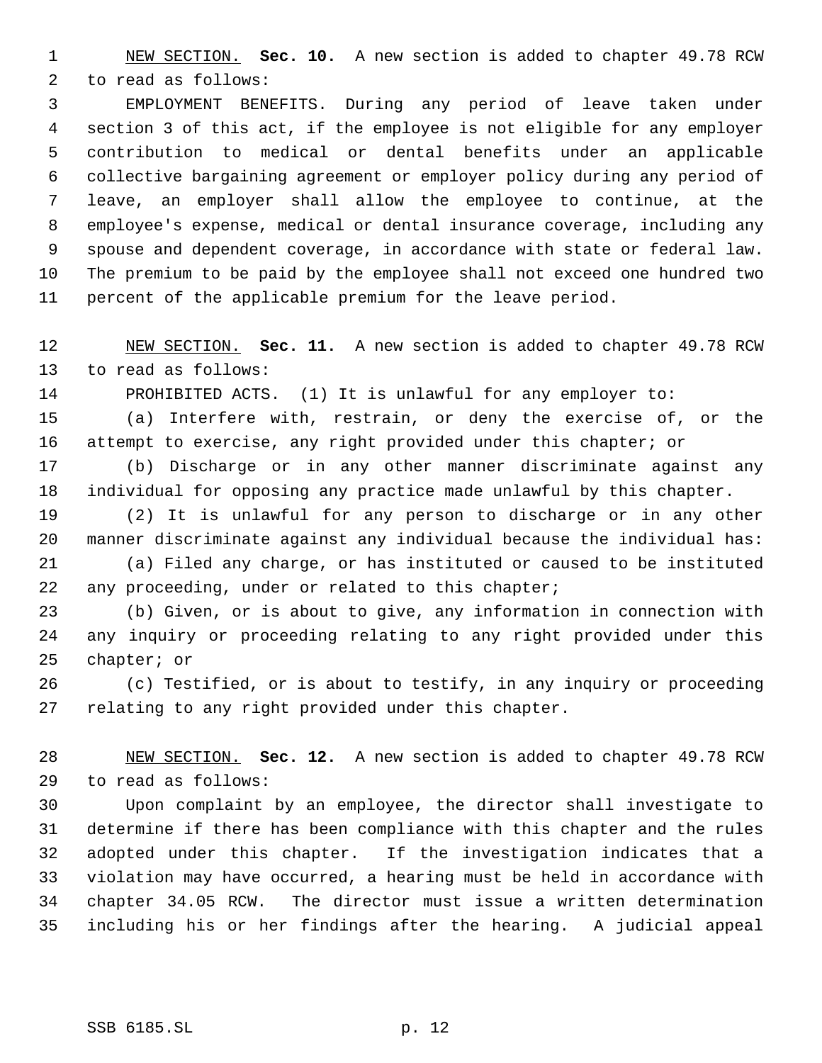NEW SECTION. **Sec. 10.** A new section is added to chapter 49.78 RCW to read as follows:

 EMPLOYMENT BENEFITS. During any period of leave taken under section 3 of this act, if the employee is not eligible for any employer contribution to medical or dental benefits under an applicable collective bargaining agreement or employer policy during any period of leave, an employer shall allow the employee to continue, at the employee's expense, medical or dental insurance coverage, including any spouse and dependent coverage, in accordance with state or federal law. The premium to be paid by the employee shall not exceed one hundred two percent of the applicable premium for the leave period.

 NEW SECTION. **Sec. 11.** A new section is added to chapter 49.78 RCW to read as follows:

PROHIBITED ACTS. (1) It is unlawful for any employer to:

 (a) Interfere with, restrain, or deny the exercise of, or the attempt to exercise, any right provided under this chapter; or

 (b) Discharge or in any other manner discriminate against any individual for opposing any practice made unlawful by this chapter.

 (2) It is unlawful for any person to discharge or in any other manner discriminate against any individual because the individual has:

 (a) Filed any charge, or has instituted or caused to be instituted any proceeding, under or related to this chapter;

 (b) Given, or is about to give, any information in connection with any inquiry or proceeding relating to any right provided under this chapter; or

 (c) Testified, or is about to testify, in any inquiry or proceeding relating to any right provided under this chapter.

 NEW SECTION. **Sec. 12.** A new section is added to chapter 49.78 RCW to read as follows:

 Upon complaint by an employee, the director shall investigate to determine if there has been compliance with this chapter and the rules adopted under this chapter. If the investigation indicates that a violation may have occurred, a hearing must be held in accordance with chapter 34.05 RCW. The director must issue a written determination including his or her findings after the hearing. A judicial appeal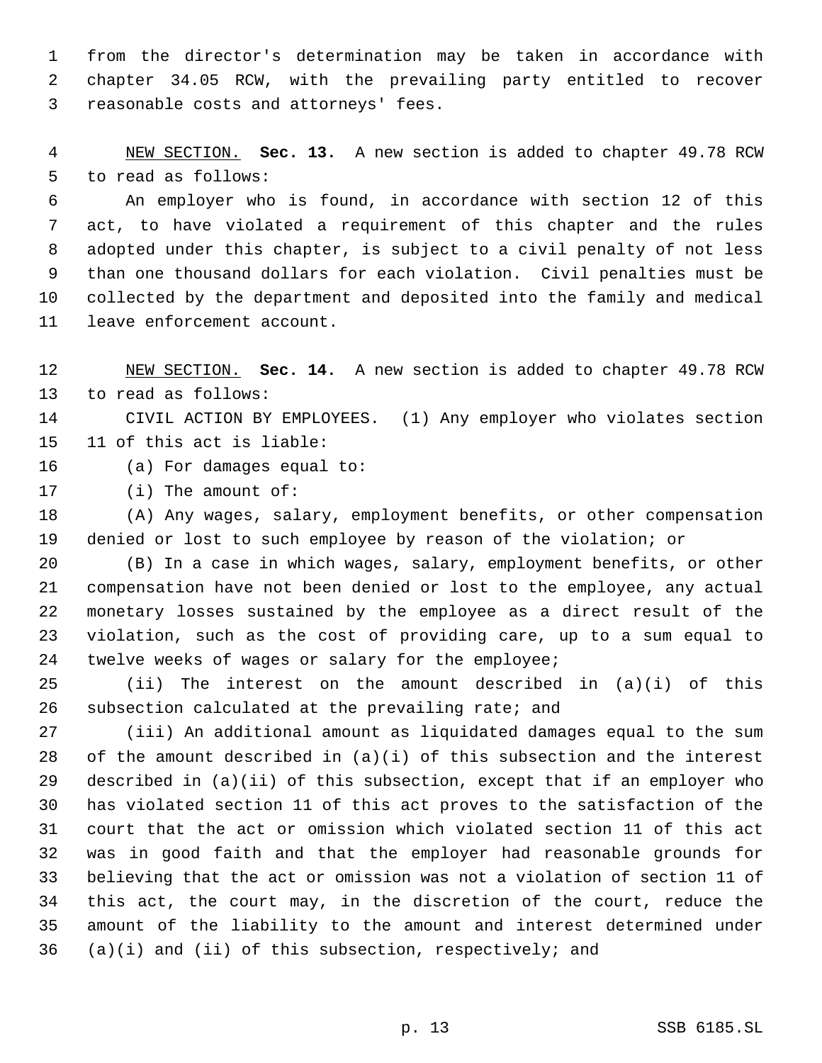from the director's determination may be taken in accordance with chapter 34.05 RCW, with the prevailing party entitled to recover reasonable costs and attorneys' fees.

 NEW SECTION. **Sec. 13.** A new section is added to chapter 49.78 RCW to read as follows:

 An employer who is found, in accordance with section 12 of this act, to have violated a requirement of this chapter and the rules adopted under this chapter, is subject to a civil penalty of not less than one thousand dollars for each violation. Civil penalties must be collected by the department and deposited into the family and medical leave enforcement account.

 NEW SECTION. **Sec. 14.** A new section is added to chapter 49.78 RCW to read as follows:

 CIVIL ACTION BY EMPLOYEES. (1) Any employer who violates section 11 of this act is liable:

(a) For damages equal to:

(i) The amount of:

 (A) Any wages, salary, employment benefits, or other compensation denied or lost to such employee by reason of the violation; or

 (B) In a case in which wages, salary, employment benefits, or other compensation have not been denied or lost to the employee, any actual monetary losses sustained by the employee as a direct result of the violation, such as the cost of providing care, up to a sum equal to twelve weeks of wages or salary for the employee;

 (ii) The interest on the amount described in (a)(i) of this subsection calculated at the prevailing rate; and

 (iii) An additional amount as liquidated damages equal to the sum of the amount described in (a)(i) of this subsection and the interest described in (a)(ii) of this subsection, except that if an employer who has violated section 11 of this act proves to the satisfaction of the court that the act or omission which violated section 11 of this act was in good faith and that the employer had reasonable grounds for believing that the act or omission was not a violation of section 11 of this act, the court may, in the discretion of the court, reduce the amount of the liability to the amount and interest determined under (a)(i) and (ii) of this subsection, respectively; and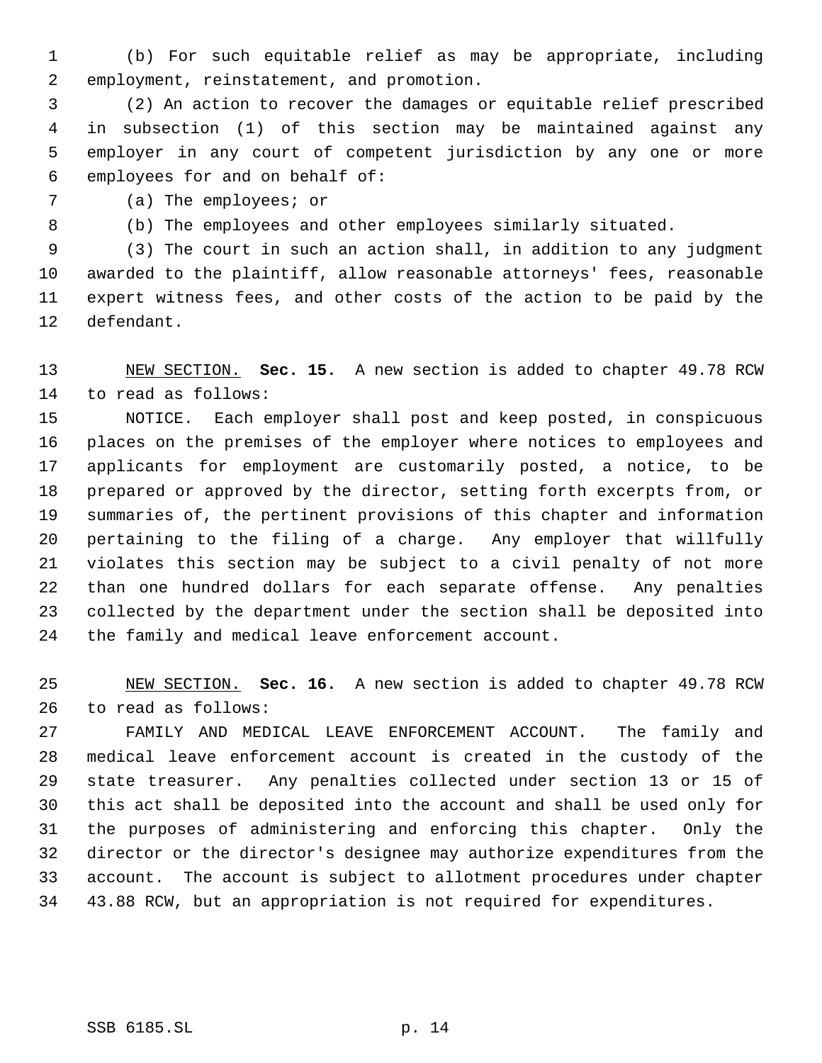(b) For such equitable relief as may be appropriate, including employment, reinstatement, and promotion.

 (2) An action to recover the damages or equitable relief prescribed in subsection (1) of this section may be maintained against any employer in any court of competent jurisdiction by any one or more employees for and on behalf of:

(a) The employees; or

(b) The employees and other employees similarly situated.

 (3) The court in such an action shall, in addition to any judgment awarded to the plaintiff, allow reasonable attorneys' fees, reasonable expert witness fees, and other costs of the action to be paid by the defendant.

 NEW SECTION. **Sec. 15.** A new section is added to chapter 49.78 RCW to read as follows:

 NOTICE. Each employer shall post and keep posted, in conspicuous places on the premises of the employer where notices to employees and applicants for employment are customarily posted, a notice, to be prepared or approved by the director, setting forth excerpts from, or summaries of, the pertinent provisions of this chapter and information pertaining to the filing of a charge. Any employer that willfully violates this section may be subject to a civil penalty of not more than one hundred dollars for each separate offense. Any penalties collected by the department under the section shall be deposited into the family and medical leave enforcement account.

 NEW SECTION. **Sec. 16.** A new section is added to chapter 49.78 RCW to read as follows:

 FAMILY AND MEDICAL LEAVE ENFORCEMENT ACCOUNT. The family and medical leave enforcement account is created in the custody of the state treasurer. Any penalties collected under section 13 or 15 of this act shall be deposited into the account and shall be used only for the purposes of administering and enforcing this chapter. Only the director or the director's designee may authorize expenditures from the account. The account is subject to allotment procedures under chapter 43.88 RCW, but an appropriation is not required for expenditures.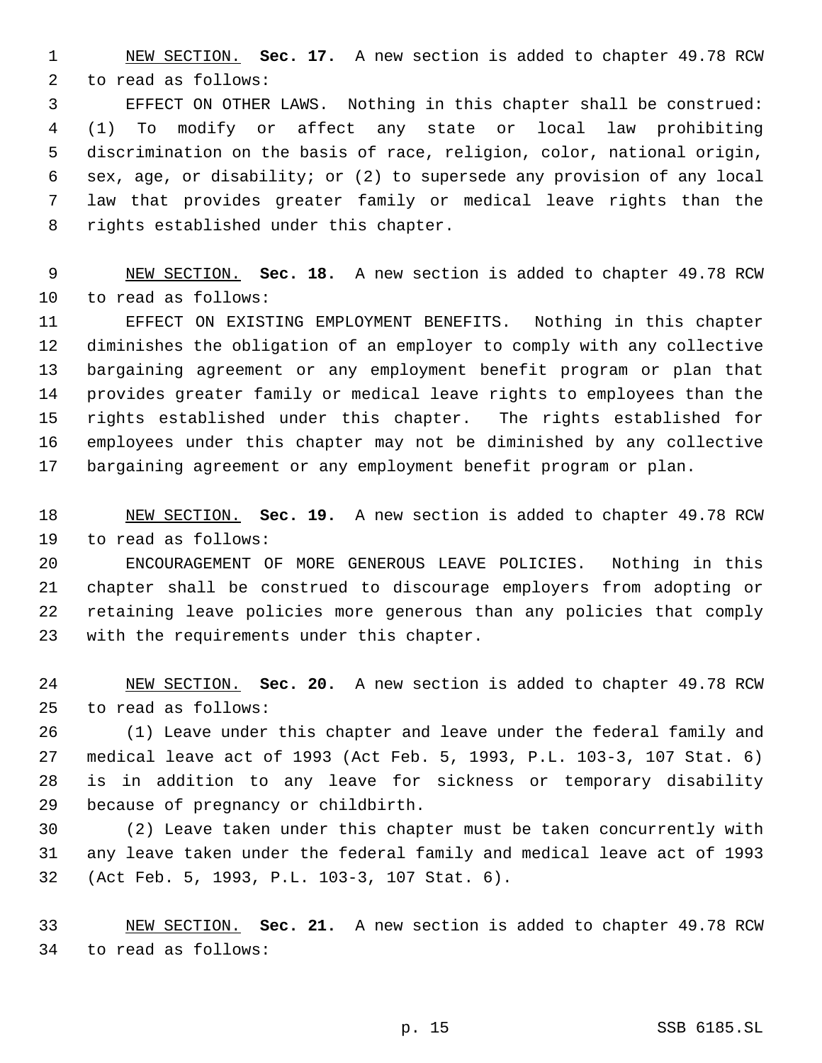NEW SECTION. **Sec. 17.** A new section is added to chapter 49.78 RCW to read as follows:

 EFFECT ON OTHER LAWS. Nothing in this chapter shall be construed: (1) To modify or affect any state or local law prohibiting discrimination on the basis of race, religion, color, national origin, sex, age, or disability; or (2) to supersede any provision of any local law that provides greater family or medical leave rights than the rights established under this chapter.

 NEW SECTION. **Sec. 18.** A new section is added to chapter 49.78 RCW to read as follows:

 EFFECT ON EXISTING EMPLOYMENT BENEFITS. Nothing in this chapter diminishes the obligation of an employer to comply with any collective bargaining agreement or any employment benefit program or plan that provides greater family or medical leave rights to employees than the rights established under this chapter. The rights established for employees under this chapter may not be diminished by any collective bargaining agreement or any employment benefit program or plan.

 NEW SECTION. **Sec. 19.** A new section is added to chapter 49.78 RCW to read as follows:

 ENCOURAGEMENT OF MORE GENEROUS LEAVE POLICIES. Nothing in this chapter shall be construed to discourage employers from adopting or retaining leave policies more generous than any policies that comply with the requirements under this chapter.

 NEW SECTION. **Sec. 20.** A new section is added to chapter 49.78 RCW to read as follows:

 (1) Leave under this chapter and leave under the federal family and medical leave act of 1993 (Act Feb. 5, 1993, P.L. 103-3, 107 Stat. 6) is in addition to any leave for sickness or temporary disability because of pregnancy or childbirth.

 (2) Leave taken under this chapter must be taken concurrently with any leave taken under the federal family and medical leave act of 1993 (Act Feb. 5, 1993, P.L. 103-3, 107 Stat. 6).

 NEW SECTION. **Sec. 21.** A new section is added to chapter 49.78 RCW to read as follows: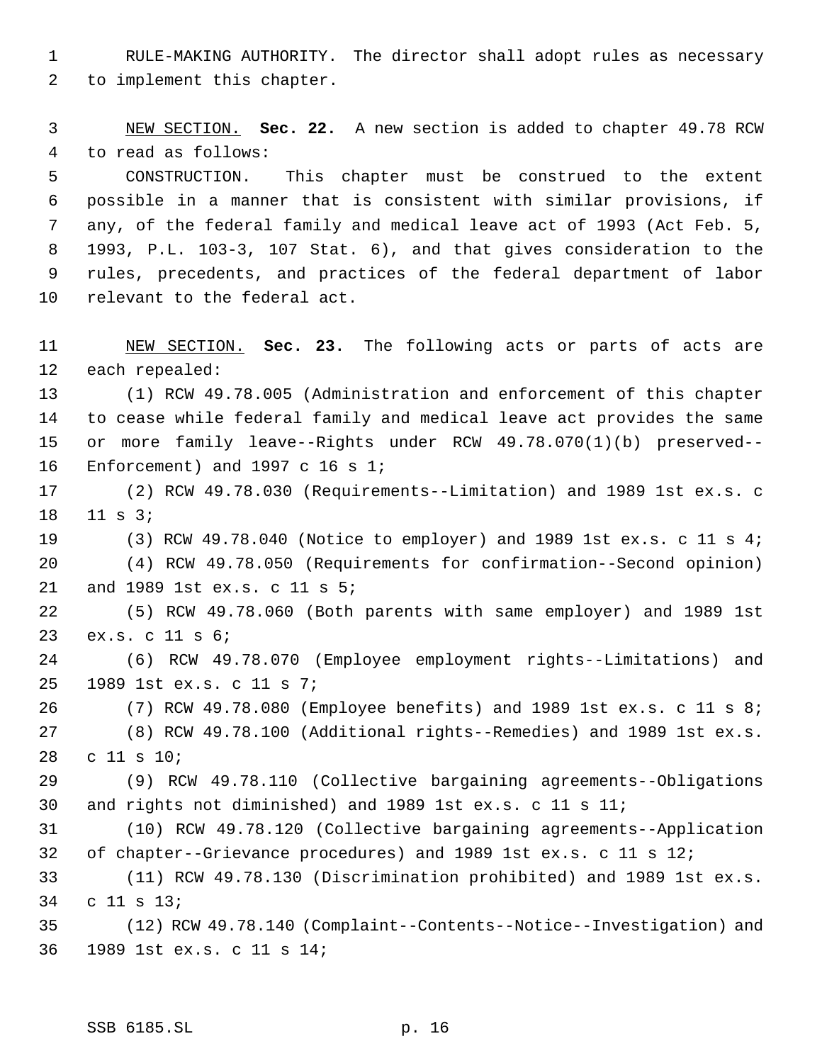RULE-MAKING AUTHORITY. The director shall adopt rules as necessary to implement this chapter.

 NEW SECTION. **Sec. 22.** A new section is added to chapter 49.78 RCW to read as follows:

 CONSTRUCTION. This chapter must be construed to the extent possible in a manner that is consistent with similar provisions, if any, of the federal family and medical leave act of 1993 (Act Feb. 5, 1993, P.L. 103-3, 107 Stat. 6), and that gives consideration to the rules, precedents, and practices of the federal department of labor relevant to the federal act.

 NEW SECTION. **Sec. 23.** The following acts or parts of acts are each repealed:

 (1) RCW 49.78.005 (Administration and enforcement of this chapter to cease while federal family and medical leave act provides the same or more family leave--Rights under RCW 49.78.070(1)(b) preserved-- Enforcement) and 1997 c 16 s 1;

 (2) RCW 49.78.030 (Requirements--Limitation) and 1989 1st ex.s. c 11 s 3;

 (3) RCW 49.78.040 (Notice to employer) and 1989 1st ex.s. c 11 s 4; (4) RCW 49.78.050 (Requirements for confirmation--Second opinion) and 1989 1st ex.s. c 11 s 5;

 (5) RCW 49.78.060 (Both parents with same employer) and 1989 1st ex.s. c 11 s 6;

 (6) RCW 49.78.070 (Employee employment rights--Limitations) and 1989 1st ex.s. c 11 s 7;

 (7) RCW 49.78.080 (Employee benefits) and 1989 1st ex.s. c 11 s 8; (8) RCW 49.78.100 (Additional rights--Remedies) and 1989 1st ex.s. c 11 s 10;

 (9) RCW 49.78.110 (Collective bargaining agreements--Obligations and rights not diminished) and 1989 1st ex.s. c 11 s 11;

 (10) RCW 49.78.120 (Collective bargaining agreements--Application of chapter--Grievance procedures) and 1989 1st ex.s. c 11 s 12;

 (11) RCW 49.78.130 (Discrimination prohibited) and 1989 1st ex.s. c 11 s 13;

 (12) RCW 49.78.140 (Complaint--Contents--Notice--Investigation) and 1989 1st ex.s. c 11 s 14;